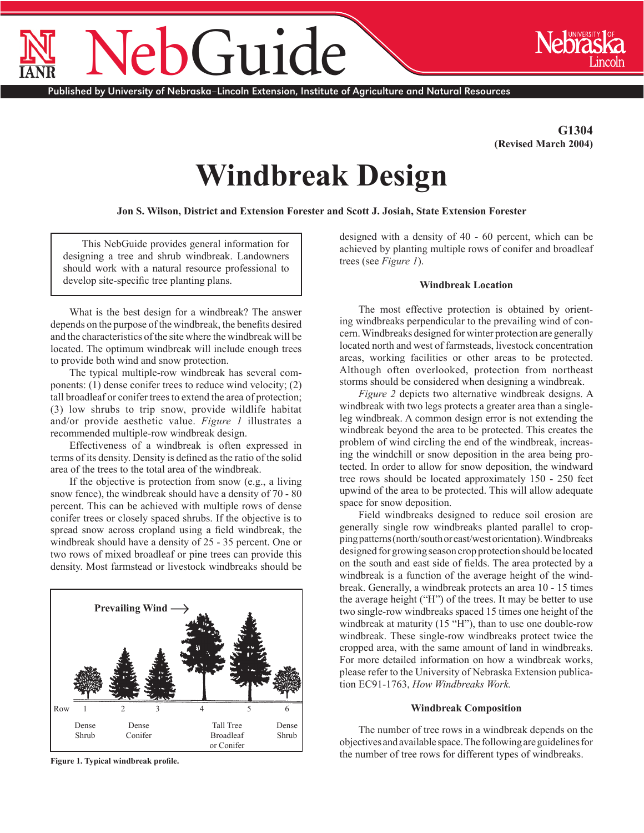# NebGuide

Published by University of Nebraska–Lincoln Extension, Institute of Agriculture and Natural Resources

**G1304 (Revised March 2004)**

# **Windbreak Design**

**Jon S. Wilson, District and Extension Forester and Scott J. Josiah, State Extension Forester**

This NebGuide provides general information for designing a tree and shrub windbreak. Landowners should work with a natural resource professional to develop site-specific tree planting plans.

What is the best design for a windbreak? The answer depends on the purpose of the windbreak, the benefits desired and the characteristics of the site where the windbreak will be located. The optimum windbreak will include enough trees to provide both wind and snow protection.

The typical multiple-row windbreak has several components: (1) dense conifer trees to reduce wind velocity; (2) tall broadleaf or conifer trees to extend the area of protection; (3) low shrubs to trip snow, provide wildlife habitat and/or provide aesthetic value. *Figure 1* illustrates a recommended multiple-row windbreak design.

Effectiveness of a windbreak is often expressed in terms of its density. Density is defined as the ratio of the solid area of the trees to the total area of the windbreak.

If the objective is protection from snow (e.g., a living snow fence), the windbreak should have a density of 70 - 80 percent. This can be achieved with multiple rows of dense conifer trees or closely spaced shrubs. If the objective is to spread snow across cropland using a field windbreak, the windbreak should have a density of 25 - 35 percent. One or two rows of mixed broadleaf or pine trees can provide this density. Most farmstead or livestock windbreaks should be



**Figure 1. Typical windbreak profile.**

designed with a density of 40 - 60 percent, which can be achieved by planting multiple rows of conifer and broadleaf trees (see *Figure 1*).

#### **Windbreak Location**

The most effective protection is obtained by orienting windbreaks perpendicular to the prevailing wind of concern. Windbreaks designed for winter protection are generally located north and west of farmsteads, livestock concentration areas, working facilities or other areas to be protected. Although often overlooked, protection from northeast storms should be considered when designing a windbreak.

*Figure 2* depicts two alternative windbreak designs. A windbreak with two legs protects a greater area than a singleleg windbreak. A common design error is not extending the windbreak beyond the area to be protected. This creates the problem of wind circling the end of the windbreak, increasing the windchill or snow deposition in the area being protected. In order to allow for snow deposition, the windward tree rows should be located approximately 150 - 250 feet upwind of the area to be protected. This will allow adequate space for snow deposition.

Field windbreaks designed to reduce soil erosion are generally single row windbreaks planted parallel to cropping patterns (north/south or east/west orientation). Windbreaks designed for growing season crop protection should be located on the south and east side of fields. The area protected by a windbreak is a function of the average height of the windbreak. Generally, a windbreak protects an area 10 - 15 times the average height ("H") of the trees. It may be better to use two single-row windbreaks spaced 15 times one height of the windbreak at maturity (15 "H"), than to use one double-row windbreak. These single-row windbreaks protect twice the cropped area, with the same amount of land in windbreaks. For more detailed information on how a windbreak works, please refer to the University of Nebraska Extension publication EC91-1763, *How Windbreaks Work.*

#### **Windbreak Composition**

The number of tree rows in a windbreak depends on the objectives and available space. The following are guidelines for the number of tree rows for different types of windbreaks.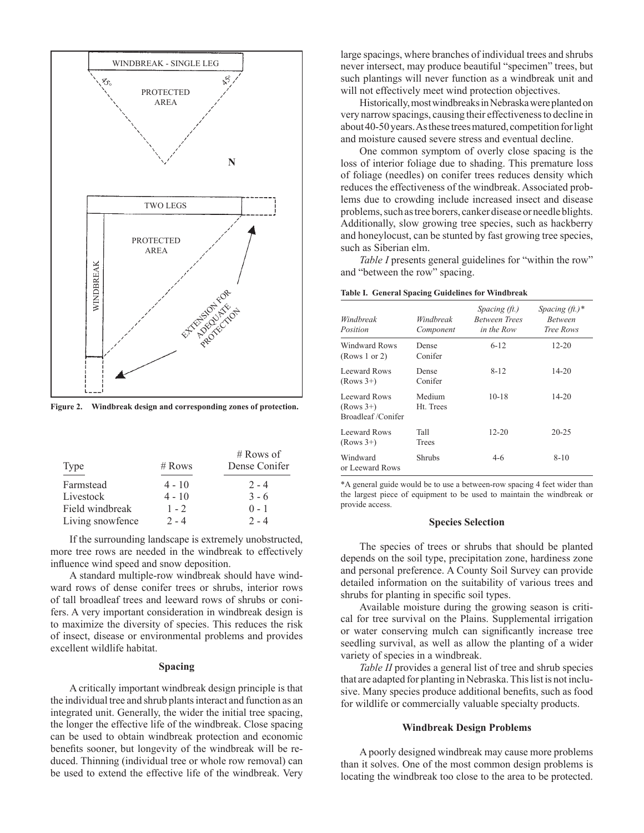

**Figure 2. Windbreak design and corresponding zones of protection.**

|                  |          | $#$ Rows of   |
|------------------|----------|---------------|
| Type             | $#$ Rows | Dense Conifer |
| Farmstead        | $4 - 10$ | $2 - 4$       |
| Livestock        | $4 - 10$ | $3 - 6$       |
| Field windbreak  | $1 - 2$  | $0 - 1$       |
| Living snowfence | $2 - 4$  | $2 - 4$       |

If the surrounding landscape is extremely unobstructed, more tree rows are needed in the windbreak to effectively influence wind speed and snow deposition.

A standard multiple-row windbreak should have windward rows of dense conifer trees or shrubs, interior rows of tall broadleaf trees and leeward rows of shrubs or conifers. A very important consideration in windbreak design is to maximize the diversity of species. This reduces the risk of insect, disease or environmental problems and provides excellent wildlife habitat.

# **Spacing**

A critically important windbreak design principle is that the individual tree and shrub plants interact and function as an integrated unit. Generally, the wider the initial tree spacing, the longer the effective life of the windbreak. Close spacing can be used to obtain windbreak protection and economic benefits sooner, but longevity of the windbreak will be reduced. Thinning (individual tree or whole row removal) can be used to extend the effective life of the windbreak. Very large spacings, where branches of individual trees and shrubs never intersect, may produce beautiful "specimen" trees, but such plantings will never function as a windbreak unit and will not effectively meet wind protection objectives.

Historically, most windbreaks in Nebraska were planted on very narrow spacings, causing their effectiveness to decline in about 40-50 years. As these trees matured, competition for light and moisture caused severe stress and eventual decline.

One common symptom of overly close spacing is the loss of interior foliage due to shading. This premature loss of foliage (needles) on conifer trees reduces density which reduces the effectiveness of the windbreak. Associated problems due to crowding include increased insect and disease problems, such as tree borers, canker disease or needle blights. Additionally, slow growing tree species, such as hackberry and honeylocust, can be stunted by fast growing tree species, such as Siberian elm.

*Table I* presents general guidelines for "within the row" and "between the row" spacing.

|  |  |  |  |  | Table I. General Spacing Guidelines for Windbreak |
|--|--|--|--|--|---------------------------------------------------|
|--|--|--|--|--|---------------------------------------------------|

| Windbreak<br>Position                            | Windbreak<br>Component | Spacing (ft.)<br><b>Between Trees</b><br>in the Row | Spacing $(jt.)$ *<br><b>Between</b><br>Tree Rows |
|--------------------------------------------------|------------------------|-----------------------------------------------------|--------------------------------------------------|
| Windward Rows<br>(Rows 1 or 2)                   | Dense<br>Conifer       | $6 - 12$                                            | $12 - 20$                                        |
| Leeward Rows<br>$(Rows 3+)$                      | Dense<br>Conifer       | $8 - 12$                                            | $14 - 20$                                        |
| Leeward Rows<br>$(Rows 3+)$<br>Broadleaf/Conifer | Medium<br>Ht. Trees    | $10 - 18$                                           | $14 - 20$                                        |
| Leeward Rows<br>$(Rows 3+)$                      | Tall<br>Trees          | $12 - 20$                                           | $20 - 25$                                        |
| Windward<br>or Leeward Rows                      | <b>Shrubs</b>          | $4-6$                                               | $8 - 10$                                         |

\*A general guide would be to use a between-row spacing 4 feet wider than the largest piece of equipment to be used to maintain the windbreak or provide access.

# **Species Selection**

The species of trees or shrubs that should be planted depends on the soil type, precipitation zone, hardiness zone and personal preference. A County Soil Survey can provide detailed information on the suitability of various trees and shrubs for planting in specific soil types.

Available moisture during the growing season is critical for tree survival on the Plains. Supplemental irrigation or water conserving mulch can significantly increase tree seedling survival, as well as allow the planting of a wider variety of species in a windbreak.

*Table II* provides a general list of tree and shrub species that are adapted for planting in Nebraska. This list is not inclusive. Many species produce additional benefits, such as food for wildlife or commercially valuable specialty products.

#### **Windbreak Design Problems**

A poorly designed windbreak may cause more problems than it solves. One of the most common design problems is locating the windbreak too close to the area to be protected.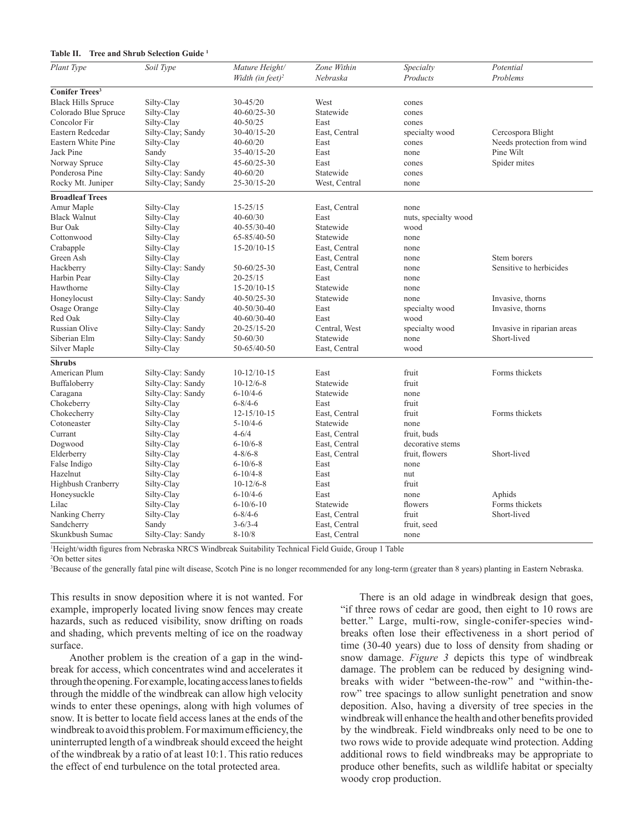# **Table II. Tree and Shrub Selection Guide 1**

| Plant Type                       | Soil Type         | Mature Height/<br>Width (in feet) <sup>2</sup> | Zone Within<br>Nebraska | Specialty<br>Products | Potential<br>Problems      |
|----------------------------------|-------------------|------------------------------------------------|-------------------------|-----------------------|----------------------------|
|                                  |                   |                                                |                         |                       |                            |
| <b>Conifer Trees<sup>3</sup></b> |                   |                                                |                         |                       |                            |
| <b>Black Hills Spruce</b>        | Silty-Clay        | 30-45/20                                       | West                    | cones                 |                            |
| Colorado Blue Spruce             | Silty-Clay        | $40 - 60/25 - 30$                              | Statewide               | cones                 |                            |
| Concolor Fir                     | Silty-Clay        | $40 - 50/25$                                   | East                    | cones                 |                            |
| Eastern Redcedar                 | Silty-Clay; Sandy | 30-40/15-20                                    | East, Central           | specialty wood        | Cercospora Blight          |
| Eastern White Pine               | Silty-Clay        | $40 - 60/20$                                   | East                    | cones                 | Needs protection from wind |
| Jack Pine                        | Sandy             | 35-40/15-20                                    | East                    | none                  | Pine Wilt                  |
| Norway Spruce                    | Silty-Clay        | $45 - 60/25 - 30$                              | East                    | cones                 | Spider mites               |
| Ponderosa Pine                   | Silty-Clay: Sandy | $40 - 60/20$                                   | Statewide               | cones                 |                            |
| Rocky Mt. Juniper                | Silty-Clay; Sandy | 25-30/15-20                                    | West, Central           | none                  |                            |
| <b>Broadleaf Trees</b>           |                   |                                                |                         |                       |                            |
| Amur Maple                       | Silty-Clay        | $15 - 25/15$                                   | East, Central           | none                  |                            |
| <b>Black Walnut</b>              | Silty-Clay        | $40 - 60/30$                                   | East                    | nuts, specialty wood  |                            |
| <b>Bur Oak</b>                   | Silty-Clay        | 40-55/30-40                                    | Statewide               | wood                  |                            |
| Cottonwood                       | Silty-Clay        | 65-85/40-50                                    | Statewide               | none                  |                            |
| Crabapple                        | Silty-Clay        | $15 - 20/10 - 15$                              | East, Central           | none                  |                            |
| Green Ash                        | Silty-Clay        |                                                | East, Central           | none                  | Stem borers                |
| Hackberry                        | Silty-Clay: Sandy | $50 - 60/25 - 30$                              | East, Central           | none                  | Sensitive to herbicides    |
| Harbin Pear                      | Silty-Clay        | $20 - 25/15$                                   | East                    | none                  |                            |
| Hawthorne                        | Silty-Clay        | $15 - 20/10 - 15$                              | Statewide               | none                  |                            |
| Honeylocust                      | Silty-Clay: Sandy | 40-50/25-30                                    | Statewide               | none                  | Invasive, thorns           |
| Osage Orange                     | Silty-Clay        | 40-50/30-40                                    | East                    | specialty wood        | Invasive, thorns           |
| Red Oak                          | Silty-Clay        | $40 - 60/30 - 40$                              | East                    | wood                  |                            |
| Russian Olive                    | Silty-Clay: Sandy | 20-25/15-20                                    | Central, West           | specialty wood        | Invasive in riparian areas |
| Siberian Elm                     | Silty-Clay: Sandy | 50-60/30                                       | Statewide               | none                  | Short-lived                |
| Silver Maple                     | Silty-Clay        | 50-65/40-50                                    | East, Central           | wood                  |                            |
| <b>Shrubs</b>                    |                   |                                                |                         |                       |                            |
| American Plum                    | Silty-Clay: Sandy | $10-12/10-15$                                  | East                    | fruit                 | Forms thickets             |
| Buffaloberry                     | Silty-Clay: Sandy | $10-12/6-8$                                    | Statewide               | fruit                 |                            |
| Caragana                         | Silty-Clay: Sandy | $6 - 10/4 - 6$                                 | Statewide               | none                  |                            |
| Chokeberry                       | Silty-Clay        | $6 - 8/4 - 6$                                  | East                    | fruit                 |                            |
| Chokecherry                      | Silty-Clay        | $12 - 15/10 - 15$                              | East, Central           | fruit                 | Forms thickets             |
| Cotoneaster                      | Silty-Clay        | $5 - 10/4 - 6$                                 | Statewide               | none                  |                            |
| Currant                          | Silty-Clay        | $4 - 6/4$                                      | East, Central           | fruit, buds           |                            |
| Dogwood                          | Silty-Clay        | $6 - 10/6 - 8$                                 | East, Central           | decorative stems      |                            |
| Elderberry                       | Silty-Clay        | $4 - 8/6 - 8$                                  | East, Central           | fruit, flowers        | Short-lived                |
| False Indigo                     | Silty-Clay        | $6 - 10/6 - 8$                                 | East                    | none                  |                            |
| Hazelnut                         | Silty-Clay        | $6 - 10/4 - 8$                                 | East                    | nut                   |                            |
| Highbush Cranberry               | Silty-Clay        | $10-12/6-8$                                    | East                    | fruit                 |                            |
| Honeysuckle                      | Silty-Clay        | $6 - 10/4 - 6$                                 | East                    |                       | Aphids                     |
| Lilac                            |                   | $6-10/6-10$                                    | Statewide               | none                  | Forms thickets             |
|                                  | Silty-Clay        |                                                |                         | flowers               |                            |
| Nanking Cherry                   | Silty-Clay        | $6 - 8/4 - 6$                                  | East, Central           | fruit                 | Short-lived                |
| Sandcherry                       | Sandy             | $3 - 6/3 - 4$                                  | East, Central           | fruit, seed           |                            |
| Skunkbush Sumac                  | Silty-Clay: Sandy | $8 - 10/8$                                     | East, Central           | none                  |                            |

1 Height/width figures from Nebraska NRCS Windbreak Suitability Technical Field Guide, Group 1 Table

2 On better sites

3 Because of the generally fatal pine wilt disease, Scotch Pine is no longer recommended for any long-term (greater than 8 years) planting in Eastern Nebraska.

This results in snow deposition where it is not wanted. For example, improperly located living snow fences may create hazards, such as reduced visibility, snow drifting on roads and shading, which prevents melting of ice on the roadway surface.

Another problem is the creation of a gap in the windbreak for access, which concentrates wind and accelerates it through the opening. For example, locating access lanes to fields through the middle of the windbreak can allow high velocity winds to enter these openings, along with high volumes of snow. It is better to locate field access lanes at the ends of the windbreak to avoid this problem. For maximum efficiency, the uninterrupted length of a windbreak should exceed the height of the windbreak by a ratio of at least 10:1. This ratio reduces the effect of end turbulence on the total protected area.

There is an old adage in windbreak design that goes, "if three rows of cedar are good, then eight to 10 rows are better." Large, multi-row, single-conifer-species windbreaks often lose their effectiveness in a short period of time (30-40 years) due to loss of density from shading or snow damage. *Figure 3* depicts this type of windbreak damage. The problem can be reduced by designing windbreaks with wider "between-the-row" and "within-therow" tree spacings to allow sunlight penetration and snow deposition. Also, having a diversity of tree species in the windbreak will enhance the health and other benefits provided by the windbreak. Field windbreaks only need to be one to two rows wide to provide adequate wind protection. Adding additional rows to field windbreaks may be appropriate to produce other benefits, such as wildlife habitat or specialty woody crop production.